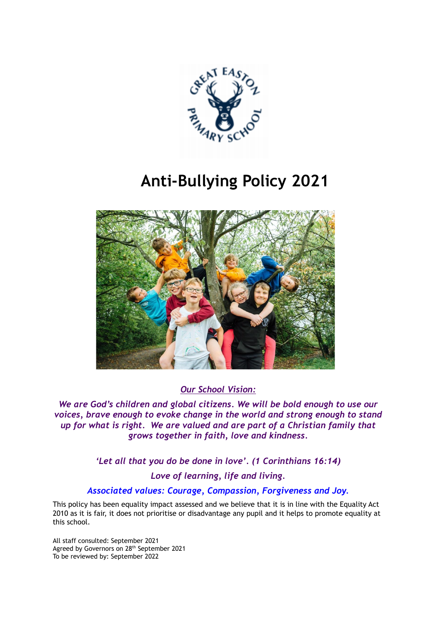

# **Anti-Bullying Policy 2021**



*Our School Vision:*

*We are God's children and global citizens. We will be bold enough to use our voices, brave enough to evoke change in the world and strong enough to stand up for what is right. We are valued and are part of a Christian family that grows together in faith, love and kindness.*

> *'Let all that you do be done in love'. (1 Corinthians 16:14) Love of learning, life and living.*

# *Associated values: Courage, Compassion, Forgiveness and Joy.*

This policy has been equality impact assessed and we believe that it is in line with the Equality Act 2010 as it is fair, it does not prioritise or disadvantage any pupil and it helps to promote equality at this school.

All staff consulted: September 2021 Agreed by Governors on 28<sup>th</sup> September 2021 To be reviewed by: September 2022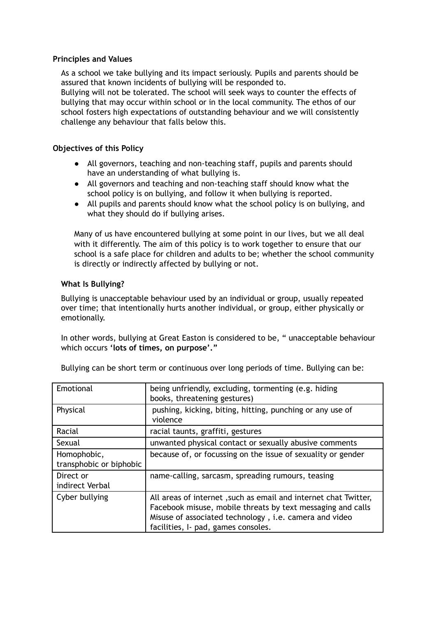#### **Principles and Values**

As a school we take bullying and its impact seriously. Pupils and parents should be assured that known incidents of bullying will be responded to.

Bullying will not be tolerated. The school will seek ways to counter the effects of bullying that may occur within school or in the local community. The ethos of our school fosters high expectations of outstanding behaviour and we will consistently challenge any behaviour that falls below this.

#### **Objectives of this Policy**

- All governors, teaching and non-teaching staff, pupils and parents should have an understanding of what bullying is.
- All governors and teaching and non-teaching staff should know what the school policy is on bullying, and follow it when bullying is reported.
- All pupils and parents should know what the school policy is on bullying, and what they should do if bullying arises.

Many of us have encountered bullying at some point in our lives, but we all deal with it differently. The aim of this policy is to work together to ensure that our school is a safe place for children and adults to be; whether the school community is directly or indirectly affected by bullying or not.

#### **What Is Bullying?**

Bullying is unacceptable behaviour used by an individual or group, usually repeated over time; that intentionally hurts another individual, or group, either physically or emotionally.

In other words, bullying at Great Easton is considered to be, " unacceptable behaviour which occurs **'lots of times, on purpose'."**

| Emotional                              | being unfriendly, excluding, tormenting (e.g. hiding<br>books, threatening gestures)                                                                                                                                            |
|----------------------------------------|---------------------------------------------------------------------------------------------------------------------------------------------------------------------------------------------------------------------------------|
| Physical                               | pushing, kicking, biting, hitting, punching or any use of<br>violence                                                                                                                                                           |
| Racial                                 | racial taunts, graffiti, gestures                                                                                                                                                                                               |
| Sexual                                 | unwanted physical contact or sexually abusive comments                                                                                                                                                                          |
| Homophobic,<br>transphobic or biphobic | because of, or focussing on the issue of sexuality or gender                                                                                                                                                                    |
| Direct or<br>indirect Verbal           | name-calling, sarcasm, spreading rumours, teasing                                                                                                                                                                               |
| Cyber bullying                         | All areas of internet, such as email and internet chat Twitter,<br>Facebook misuse, mobile threats by text messaging and calls<br>Misuse of associated technology, i.e. camera and video<br>facilities, I- pad, games consoles. |

Bullying can be short term or continuous over long periods of time. Bullying can be: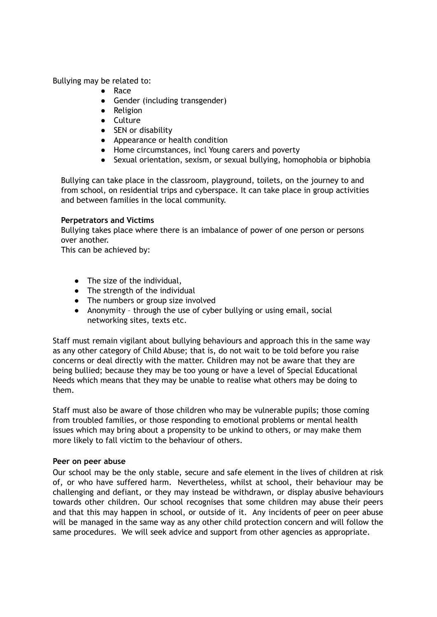Bullying may be related to:

- Race
- Gender (including transgender)
- Religion
- Culture
- SEN or disability
- Appearance or health condition
- Home circumstances, incl Young carers and poverty
- Sexual orientation, sexism, or sexual bullying, homophobia or biphobia

Bullying can take place in the classroom, playground, toilets, on the journey to and from school, on residential trips and cyberspace. It can take place in group activities and between families in the local community.

### **Perpetrators and Victims**

Bullying takes place where there is an imbalance of power of one person or persons over another.

This can be achieved by:

- The size of the individual,
- The strength of the individual
- The numbers or group size involved
- Anonymity through the use of cyber bullying or using email, social networking sites, texts etc.

Staff must remain vigilant about bullying behaviours and approach this in the same way as any other category of Child Abuse; that is, do not wait to be told before you raise concerns or deal directly with the matter. Children may not be aware that they are being bullied; because they may be too young or have a level of Special Educational Needs which means that they may be unable to realise what others may be doing to them.

Staff must also be aware of those children who may be vulnerable pupils; those coming from troubled families, or those responding to emotional problems or mental health issues which may bring about a propensity to be unkind to others, or may make them more likely to fall victim to the behaviour of others.

### **Peer on peer abuse**

Our school may be the only stable, secure and safe element in the lives of children at risk of, or who have suffered harm. Nevertheless, whilst at school, their behaviour may be challenging and defiant, or they may instead be withdrawn, or display abusive behaviours towards other children. Our school recognises that some children may abuse their peers and that this may happen in school, or outside of it. Any incidents of peer on peer abuse will be managed in the same way as any other child protection concern and will follow the same procedures. We will seek advice and support from other agencies as appropriate.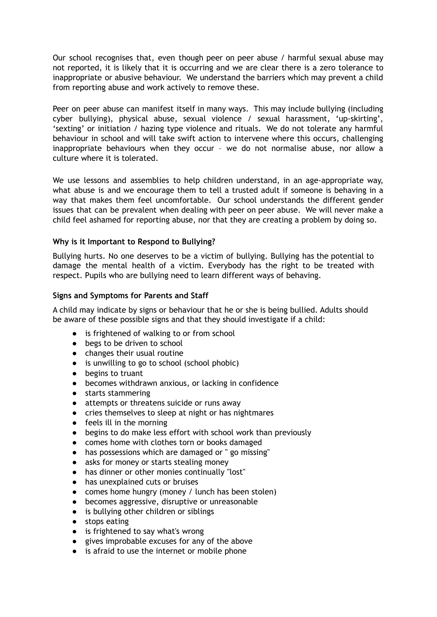Our school recognises that, even though peer on peer abuse / harmful sexual abuse may not reported, it is likely that it is occurring and we are clear there is a zero tolerance to inappropriate or abusive behaviour. We understand the barriers which may prevent a child from reporting abuse and work actively to remove these.

Peer on peer abuse can manifest itself in many ways. This may include bullying (including cyber bullying), physical abuse, sexual violence / sexual harassment, 'up-skirting', 'sexting' or initiation / hazing type violence and rituals. We do not tolerate any harmful behaviour in school and will take swift action to intervene where this occurs, challenging inappropriate behaviours when they occur – we do not normalise abuse, nor allow a culture where it is tolerated.

We use lessons and assemblies to help children understand, in an age-appropriate way, what abuse is and we encourage them to tell a trusted adult if someone is behaving in a way that makes them feel uncomfortable. Our school understands the different gender issues that can be prevalent when dealing with peer on peer abuse. We will never make a child feel ashamed for reporting abuse, nor that they are creating a problem by doing so.

### **Why is it Important to Respond to Bullying?**

Bullying hurts. No one deserves to be a victim of bullying. Bullying has the potential to damage the mental health of a victim. Everybody has the right to be treated with respect. Pupils who are bullying need to learn different ways of behaving.

### **Signs and Symptoms for Parents and Staff**

A child may indicate by signs or behaviour that he or she is being bullied. Adults should be aware of these possible signs and that they should investigate if a child:

- is frightened of walking to or from school
- $\bullet$  begs to be driven to school
- changes their usual routine
- is unwilling to go to school (school phobic)
- begins to truant
- becomes withdrawn anxious, or lacking in confidence
- starts stammering
- attempts or threatens suicide or runs away
- cries themselves to sleep at night or has nightmares
- feels ill in the morning
- begins to do make less effort with school work than previously
- comes home with clothes torn or books damaged
- has possessions which are damaged or " go missing"
- asks for money or starts stealing money
- has dinner or other monies continually "lost"
- has unexplained cuts or bruises
- comes home hungry (money / lunch has been stolen)
- becomes aggressive, disruptive or unreasonable
- is bullying other children or siblings
- stops eating
- is frightened to say what's wrong
- gives improbable excuses for any of the above
- is afraid to use the internet or mobile phone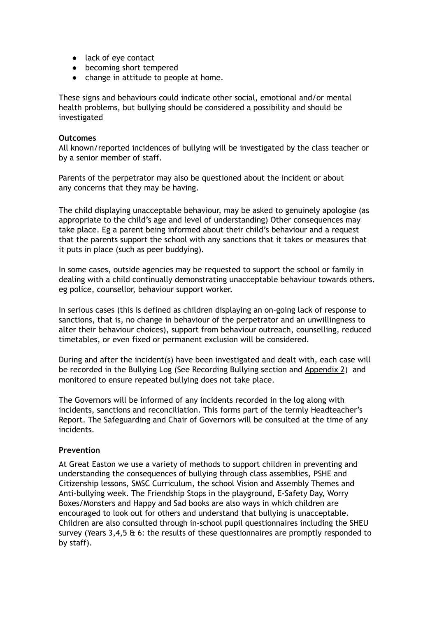- lack of eye contact
- becoming short tempered
- change in attitude to people at home.

These signs and behaviours could indicate other social, emotional and/or mental health problems, but bullying should be considered a possibility and should be investigated

#### **Outcomes**

All known/reported incidences of bullying will be investigated by the class teacher or by a senior member of staff.

Parents of the perpetrator may also be questioned about the incident or about any concerns that they may be having.

The child displaying unacceptable behaviour, may be asked to genuinely apologise (as appropriate to the child's age and level of understanding) Other consequences may take place. Eg a parent being informed about their child's behaviour and a request that the parents support the school with any sanctions that it takes or measures that it puts in place (such as peer buddying).

In some cases, outside agencies may be requested to support the school or family in dealing with a child continually demonstrating unacceptable behaviour towards others. eg police, counsellor, behaviour support worker.

In serious cases (this is defined as children displaying an on-going lack of response to sanctions, that is, no change in behaviour of the perpetrator and an unwillingness to alter their behaviour choices), support from behaviour outreach, counselling, reduced timetables, or even fixed or permanent exclusion will be considered.

During and after the incident(s) have been investigated and dealt with, each case will be recorded in the Bullying Log (See Recording Bullying section and Appendix 2) and monitored to ensure repeated bullying does not take place.

The Governors will be informed of any incidents recorded in the log along with incidents, sanctions and reconciliation. This forms part of the termly Headteacher's Report. The Safeguarding and Chair of Governors will be consulted at the time of any incidents.

### **Prevention**

At Great Easton we use a variety of methods to support children in preventing and understanding the consequences of bullying through class assemblies, PSHE and Citizenship lessons, SMSC Curriculum, the school Vision and Assembly Themes and Anti-bullying week. The Friendship Stops in the playground, E-Safety Day, Worry Boxes/Monsters and Happy and Sad books are also ways in which children are encouraged to look out for others and understand that bullying is unacceptable. Children are also consulted through in-school pupil questionnaires including the SHEU survey (Years 3,4,5 & 6: the results of these questionnaires are promptly responded to by staff).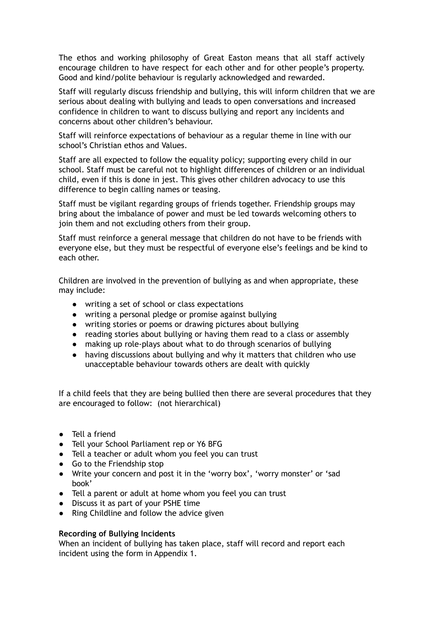The ethos and working philosophy of Great Easton means that all staff actively encourage children to have respect for each other and for other people's property. Good and kind/polite behaviour is regularly acknowledged and rewarded.

Staff will regularly discuss friendship and bullying, this will inform children that we are serious about dealing with bullying and leads to open conversations and increased confidence in children to want to discuss bullying and report any incidents and concerns about other children's behaviour.

Staff will reinforce expectations of behaviour as a regular theme in line with our school's Christian ethos and Values.

Staff are all expected to follow the equality policy; supporting every child in our school. Staff must be careful not to highlight differences of children or an individual child, even if this is done in jest. This gives other children advocacy to use this difference to begin calling names or teasing.

Staff must be vigilant regarding groups of friends together. Friendship groups may bring about the imbalance of power and must be led towards welcoming others to join them and not excluding others from their group.

Staff must reinforce a general message that children do not have to be friends with everyone else, but they must be respectful of everyone else's feelings and be kind to each other.

Children are involved in the prevention of bullying as and when appropriate, these may include:

- writing a set of school or class expectations
- writing a personal pledge or promise against bullying
- writing stories or poems or drawing pictures about bullying
- reading stories about bullying or having them read to a class or assembly
- making up role-plays about what to do through scenarios of bullying
- having discussions about bullying and why it matters that children who use unacceptable behaviour towards others are dealt with quickly

If a child feels that they are being bullied then there are several procedures that they are encouraged to follow: (not hierarchical)

- Tell a friend
- Tell your School Parliament rep or Y6 BFG
- Tell a teacher or adult whom you feel you can trust
- Go to the Friendship stop
- Write your concern and post it in the 'worry box', 'worry monster' or 'sad book'
- Tell a parent or adult at home whom you feel you can trust
- Discuss it as part of your PSHE time
- Ring Childline and follow the advice given

### **Recording of Bullying Incidents**

When an incident of bullying has taken place, staff will record and report each incident using the form in Appendix 1.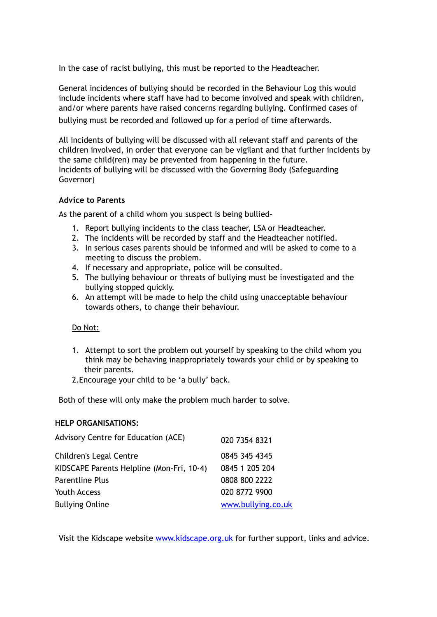In the case of racist bullying, this must be reported to the Headteacher.

General incidences of bullying should be recorded in the Behaviour Log this would include incidents where staff have had to become involved and speak with children, and/or where parents have raised concerns regarding bullying. Confirmed cases of bullying must be recorded and followed up for a period of time afterwards.

All incidents of bullying will be discussed with all relevant staff and parents of the children involved, in order that everyone can be vigilant and that further incidents by the same child(ren) may be prevented from happening in the future. Incidents of bullying will be discussed with the Governing Body (Safeguarding Governor)

## **Advice to Parents**

As the parent of a child whom you suspect is being bullied-

- 1. Report bullying incidents to the class teacher, LSA or Headteacher.
- 2. The incidents will be recorded by staff and the Headteacher notified.
- 3. In serious cases parents should be informed and will be asked to come to a meeting to discuss the problem.
- 4. If necessary and appropriate, police will be consulted.
- 5. The bullying behaviour or threats of bullying must be investigated and the bullying stopped quickly.
- 6. An attempt will be made to help the child using unacceptable behaviour towards others, to change their behaviour.

### Do Not:

- 1. Attempt to sort the problem out yourself by speaking to the child whom you think may be behaving inappropriately towards your child or by speaking to their parents.
- 2.Encourage your child to be 'a bully' back.

Both of these will only make the problem much harder to solve.

### **HELP ORGANISATIONS:**

| Advisory Centre for Education (ACE)       | 020 7354 8321      |
|-------------------------------------------|--------------------|
| Children's Legal Centre                   | 0845 345 4345      |
| KIDSCAPE Parents Helpline (Mon-Fri, 10-4) | 0845 1 205 204     |
| <b>Parentline Plus</b>                    | 0808 800 2222      |
| Youth Access                              | 020 8772 9900      |
| <b>Bullying Online</b>                    | www.bullying.co.uk |

Visit the Kidscape website [www.kidscape.org.uk](http://www.kidscape.org.uk/) for further support, links and advice.